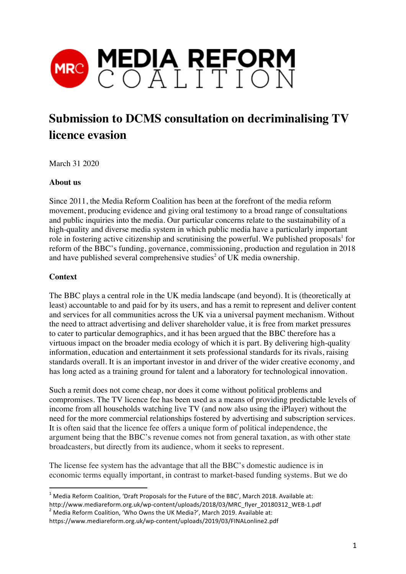

# **Submission to DCMS consultation on decriminalising TV licence evasion**

March 31 2020

### **About us**

Since 2011, the Media Reform Coalition has been at the forefront of the media reform movement, producing evidence and giving oral testimony to a broad range of consultations and public inquiries into the media. Our particular concerns relate to the sustainability of a high-quality and diverse media system in which public media have a particularly important role in fostering active citizenship and scrutinising the powerful. We published proposals<sup>1</sup> for reform of the BBC's funding, governance, commissioning, production and regulation in 2018 and have published several comprehensive studies<sup>2</sup> of UK media ownership.

### **Context**

The BBC plays a central role in the UK media landscape (and beyond). It is (theoretically at least) accountable to and paid for by its users, and has a remit to represent and deliver content and services for all communities across the UK via a universal payment mechanism. Without the need to attract advertising and deliver shareholder value, it is free from market pressures to cater to particular demographics, and it has been argued that the BBC therefore has a virtuous impact on the broader media ecology of which it is part. By delivering high-quality information, education and entertainment it sets professional standards for its rivals, raising standards overall. It is an important investor in and driver of the wider creative economy, and has long acted as a training ground for talent and a laboratory for technological innovation.

Such a remit does not come cheap, nor does it come without political problems and compromises. The TV licence fee has been used as a means of providing predictable levels of income from all households watching live TV (and now also using the iPlayer) without the need for the more commercial relationships fostered by advertising and subscription services. It is often said that the licence fee offers a unique form of political independence, the argument being that the BBC's revenue comes not from general taxation, as with other state broadcasters, but directly from its audience, whom it seeks to represent.

The license fee system has the advantage that all the BBC's domestic audience is in economic terms equally important, in contrast to market-based funding systems. But we do

**TADOE 1**<br>Andrease of the Future of the Future of the BBC', March 2018. Available at:

http://www.mediareform.org.uk/wp-content/uploads/2018/03/MRC\_flyer\_20180312\_WEB-1.pdf

 $2$  Media Reform Coalition, 'Who Owns the UK Media?', March 2019. Available at:

https://www.mediareform.org.uk/wp-content/uploads/2019/03/FINALonline2.pdf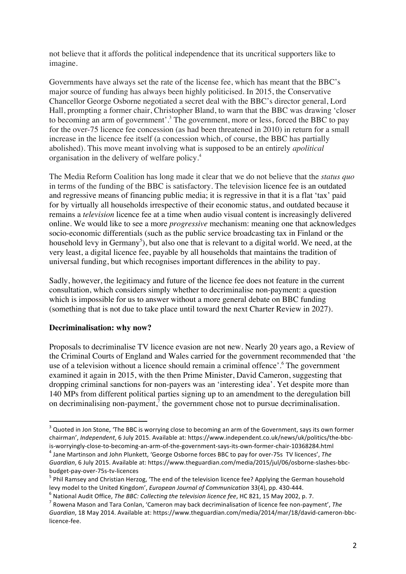not believe that it affords the political independence that its uncritical supporters like to imagine.

Governments have always set the rate of the license fee, which has meant that the BBC's major source of funding has always been highly politicised. In 2015, the Conservative Chancellor George Osborne negotiated a secret deal with the BBC's director general, Lord Hall, prompting a former chair, Christopher Bland, to warn that the BBC was drawing 'closer to becoming an arm of government'.<sup>3</sup> The government, more or less, forced the BBC to pay for the over-75 licence fee concession (as had been threatened in 2010) in return for a small increase in the licence fee itself (a concession which, of course, the BBC has partially abolished). This move meant involving what is supposed to be an entirely *apolitical* organisation in the delivery of welfare policy. 4

The Media Reform Coalition has long made it clear that we do not believe that the *status quo* in terms of the funding of the BBC is satisfactory. The television licence fee is an outdated and regressive means of financing public media; it is regressive in that it is a flat 'tax' paid for by virtually all households irrespective of their economic status, and outdated because it remains a *television* licence fee at a time when audio visual content is increasingly delivered online. We would like to see a more *progressive* mechanism: meaning one that acknowledges socio-economic differentials (such as the public service broadcasting tax in Finland or the household levy in Germany<sup>5</sup>), but also one that is relevant to a digital world. We need, at the very least, a digital licence fee, payable by all households that maintains the tradition of universal funding, but which recognises important differences in the ability to pay.

Sadly, however, the legitimacy and future of the licence fee does not feature in the current consultation, which considers simply whether to decriminalise non-payment: a question which is impossible for us to answer without a more general debate on BBC funding (something that is not due to take place until toward the next Charter Review in 2027).

## **Decriminalisation: why now?**

Proposals to decriminalise TV licence evasion are not new. Nearly 20 years ago, a Review of the Criminal Courts of England and Wales carried for the government recommended that 'the use of a television without a licence should remain a criminal offence'. <sup>6</sup> The government examined it again in 2015, with the then Prime Minister, David Cameron, suggesting that dropping criminal sanctions for non-payers was an 'interesting idea'. Yet despite more than 140 MPs from different political parties signing up to an amendment to the deregulation bill on decriminalising non-payment,<sup>7</sup> the government chose not to pursue decriminalisation.

<sup>&</sup>lt;u>and the soun-off concepts of</u><br>A Quoted in Jon Stone, 'The BBC is worrying close to becoming an arm of the Government, says its own former chairman', *Independent*, 6 July 2015. Available at: https://www.independent.co.uk/news/uk/politics/the-bbcis-worryingly-close-to-becoming-an-arm-of-the-government-says-its-own-former-chair-10368284.html <sup>4</sup>

<sup>&</sup>lt;sup>4</sup> Jane Martinson and John Plunkett, 'George Osborne forces BBC to pay for over-75s TV licences', The Guardian, 6 July 2015. Available at: https://www.theguardian.com/media/2015/jul/06/osborne-slashes-bbcbudget-pay-over-75s-tv-licences <sup>5</sup>

 $^5$  Phil Ramsey and Christian Herzog, 'The end of the television licence fee? Applying the German household levy model to the United Kingdom', *European Journal of Communication* 33(4), pp. 430-444.

<sup>&</sup>lt;sup>6</sup> National Audit Office, *The BBC: Collecting the television licence fee*, HC 821, 15 May 2002, p. 7.

<sup>&</sup>lt;sup>7</sup> Rowena Mason and Tara Conlan, 'Cameron may back decriminalisation of licence fee non-payment', The Guardian, 18 May 2014. Available at: https://www.theguardian.com/media/2014/mar/18/david-cameron-bbclicence-fee.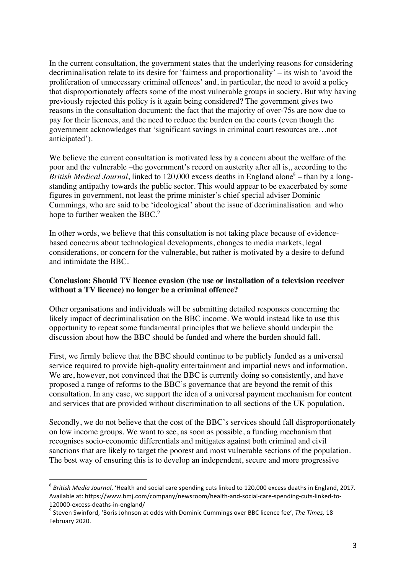In the current consultation, the government states that the underlying reasons for considering decriminalisation relate to its desire for 'fairness and proportionality' – its wish to 'avoid the proliferation of unnecessary criminal offences' and, in particular, the need to avoid a policy that disproportionately affects some of the most vulnerable groups in society. But why having previously rejected this policy is it again being considered? The government gives two reasons in the consultation document: the fact that the majority of over-75s are now due to pay for their licences, and the need to reduce the burden on the courts (even though the government acknowledges that 'significant savings in criminal court resources are…not anticipated').

We believe the current consultation is motivated less by a concern about the welfare of the poor and the vulnerable –the government's record on austerity after all is,, according to the *British Medical Journal*, linked to 120,000 excess deaths in England alone<sup>8</sup> – than by a longstanding antipathy towards the public sector. This would appear to be exacerbated by some figures in government, not least the prime minister's chief special adviser Dominic Cummings, who are said to be 'ideological' about the issue of decriminalisation and who hope to further weaken the BBC.<sup>9</sup>

In other words, we believe that this consultation is not taking place because of evidencebased concerns about technological developments, changes to media markets, legal considerations, or concern for the vulnerable, but rather is motivated by a desire to defund and intimidate the BBC.

### **Conclusion: Should TV licence evasion (the use or installation of a television receiver without a TV licence) no longer be a criminal offence?**

Other organisations and individuals will be submitting detailed responses concerning the likely impact of decriminalisation on the BBC income. We would instead like to use this opportunity to repeat some fundamental principles that we believe should underpin the discussion about how the BBC should be funded and where the burden should fall.

First, we firmly believe that the BBC should continue to be publicly funded as a universal service required to provide high-quality entertainment and impartial news and information. We are, however, not convinced that the BBC is currently doing so consistently, and have proposed a range of reforms to the BBC's governance that are beyond the remit of this consultation. In any case, we support the idea of a universal payment mechanism for content and services that are provided without discrimination to all sections of the UK population.

Secondly, we do not believe that the cost of the BBC's services should fall disproportionately on low income groups. We want to see, as soon as possible, a funding mechanism that recognises socio-economic differentials and mitigates against both criminal and civil sanctions that are likely to target the poorest and most vulnerable sections of the population. The best way of ensuring this is to develop an independent, secure and more progressive

<sup>&</sup>lt;sup>8</sup> British Media Journal, 'Health and social care spending cuts linked to 120,000 excess deaths in England, 2017. Available at: https://www.bmj.com/company/newsroom/health-and-social-care-spending-cuts-linked-to-120000-excess-deaths-in-england/ <sup>9</sup>

<sup>&</sup>lt;sup>9</sup> Steven Swinford, 'Boris Johnson at odds with Dominic Cummings over BBC licence fee', The Times, 18 February 2020.